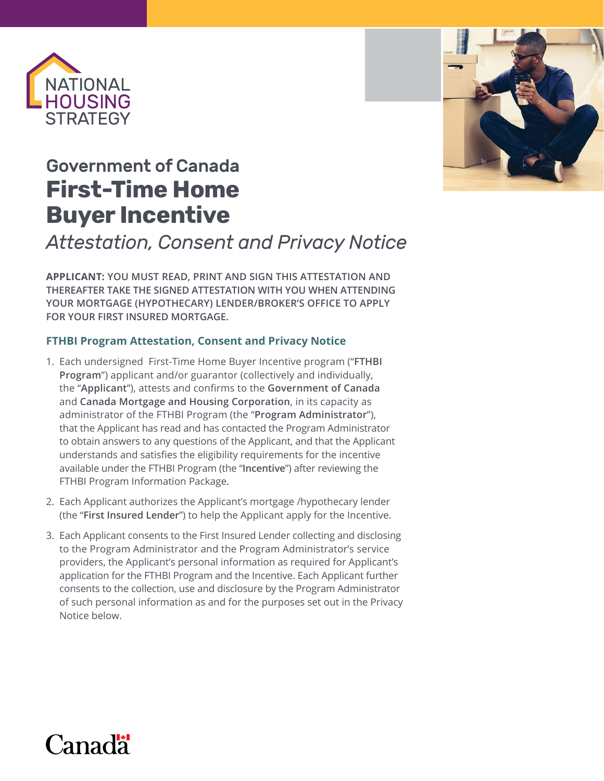

## Government of Canada **First-Time Home Buyer Incentive**

## *Attestation, Consent and Privacy Notice*

**APPLICANT: YOU MUST READ, PRINT AND SIGN THIS ATTESTATION AND THEREAFTER TAKE THE SIGNED ATTESTATION WITH YOU WHEN ATTENDING YOUR MORTGAGE (HYPOTHECARY) LENDER/BROKER'S OFFICE TO APPLY FOR YOUR FIRST INSURED MORTGAGE.**

## **FTHBI Program Attestation, Consent and Privacy Notice**

- 1. Each undersigned First-Time Home Buyer Incentive program ("**FTHBI Program**") applicant and/or guarantor (collectively and individually, the "**Applicant**"), attests and confirms to the **Government of Canada** and **Canada Mortgage and Housing Corporation**, in its capacity as administrator of the FTHBI Program (the "**Program Administrator**"), that the Applicant has read and has contacted the Program Administrator to obtain answers to any questions of the Applicant, and that the Applicant understands and satisfies the eligibility requirements for the incentive available under the FTHBI Program (the "**Incentive**") after reviewing the FTHBI Program Information Package.
- 2. Each Applicant authorizes the Applicant's mortgage /hypothecary lender (the "**First Insured Lender**") to help the Applicant apply for the Incentive.
- 3. Each Applicant consents to the First Insured Lender collecting and disclosing to the Program Administrator and the Program Administrator's service providers, the Applicant's personal information as required for Applicant's application for the FTHBI Program and the Incentive. Each Applicant further consents to the collection, use and disclosure by the Program Administrator of such personal information as and for the purposes set out in the Privacy Notice below.



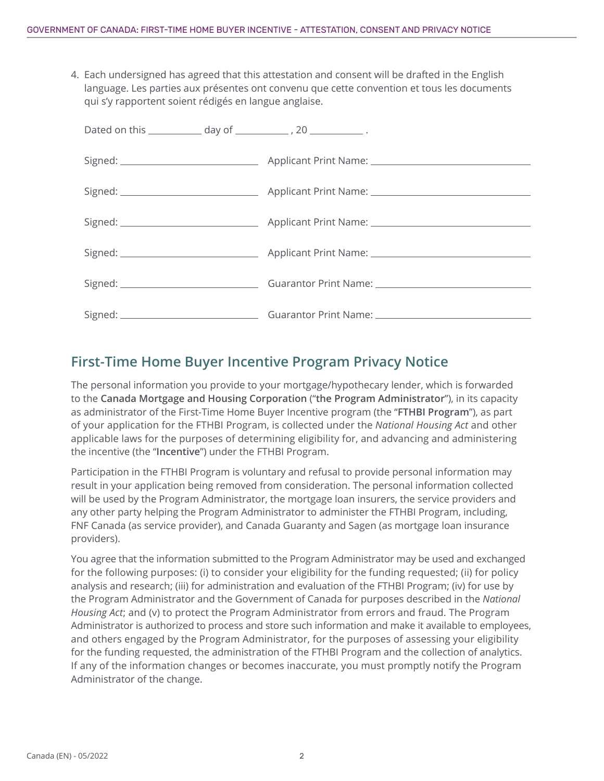4. Each undersigned has agreed that this attestation and consent will be drafted in the English language. Les parties aux présentes ont convenu que cette convention et tous les documents qui s'y rapportent soient rédigés en langue anglaise.

## **First-Time Home Buyer Incentive Program Privacy Notice**

The personal information you provide to your mortgage/hypothecary lender, which is forwarded to the **Canada Mortgage and Housing Corporation** ("**the Program Administrator**"), in its capacity as administrator of the First-Time Home Buyer Incentive program (the "**FTHBI Program**"), as part of your application for the FTHBI Program, is collected under the *National Housing Act* and other applicable laws for the purposes of determining eligibility for, and advancing and administering the incentive (the "**Incentive**") under the FTHBI Program.

Participation in the FTHBI Program is voluntary and refusal to provide personal information may result in your application being removed from consideration. The personal information collected will be used by the Program Administrator, the mortgage loan insurers, the service providers and any other party helping the Program Administrator to administer the FTHBI Program, including, FNF Canada (as service provider), and Canada Guaranty and Sagen (as mortgage loan insurance providers).

You agree that the information submitted to the Program Administrator may be used and exchanged for the following purposes: (i) to consider your eligibility for the funding requested; (ii) for policy analysis and research; (iii) for administration and evaluation of the FTHBI Program; (iv) for use by the Program Administrator and the Government of Canada for purposes described in the *National Housing Act*; and (v) to protect the Program Administrator from errors and fraud. The Program Administrator is authorized to process and store such information and make it available to employees, and others engaged by the Program Administrator, for the purposes of assessing your eligibility for the funding requested, the administration of the FTHBI Program and the collection of analytics. If any of the information changes or becomes inaccurate, you must promptly notify the Program Administrator of the change.